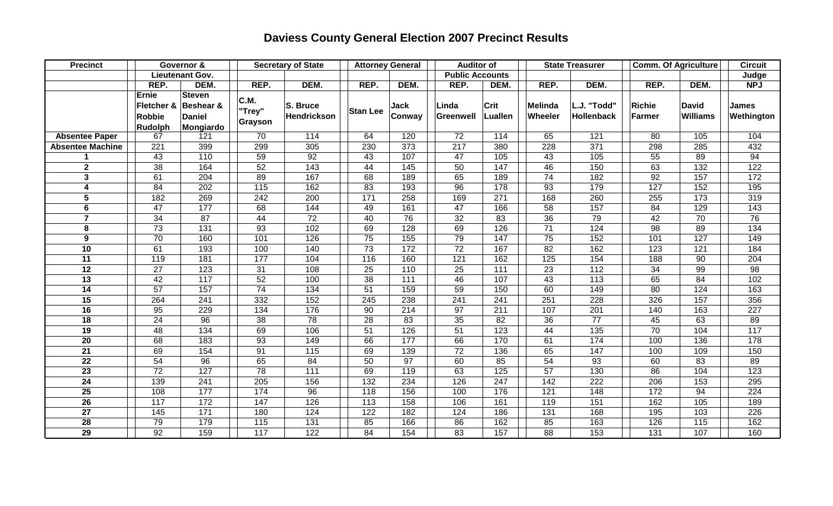## **Daviess County General Election 2007 Precinct Results**

| <b>Precinct</b>         | Governor &                                      |                                                          | <b>Secretary of State</b> |                         | <b>Attorney General</b> |                   | <b>Auditor of</b>      |                  | <b>State Treasurer</b>    |                           | <b>Comm. Of Agriculture</b> |                                 | <b>Circuit</b>             |
|-------------------------|-------------------------------------------------|----------------------------------------------------------|---------------------------|-------------------------|-------------------------|-------------------|------------------------|------------------|---------------------------|---------------------------|-----------------------------|---------------------------------|----------------------------|
|                         |                                                 | Lieutenant Gov.                                          |                           |                         |                         |                   | <b>Public Accounts</b> |                  |                           |                           |                             |                                 | Judge                      |
|                         | REP.                                            | DEM.                                                     | REP.                      | DEM.                    | REP.                    | DEM.              | REP.                   | DEM.             | REP.                      | DEM.                      | REP.                        | DEM.                            | <b>NPJ</b>                 |
|                         | <b>Ernie</b><br>Fletcher &<br>Robbie<br>Rudolph | <b>Steven</b><br>Beshear &<br><b>Daniel</b><br>Mongiardo | C.M.<br>"Trey"<br>Grayson | S. Bruce<br>Hendrickson | <b>Stan Lee</b>         | Jack<br>Conway    | Linda<br>Greenwell     | Crit<br>Luallen  | <b>Melinda</b><br>Wheeler | L.J. "Todd"<br>Hollenback | Richie<br>Farmer            | <b>David</b><br><b>Williams</b> | <b>James</b><br>Wethington |
| <b>Absentee Paper</b>   | 67                                              | 121                                                      | 70                        | 114                     | 64                      | 120               | 72                     | 114              | 65                        | 121                       | 80                          | 105                             | 104                        |
| <b>Absentee Machine</b> | 221                                             | 399                                                      | 299                       | 305                     | 230                     | 373               | 217                    | 380              | 228                       | 371                       | 298                         | 285                             | 432                        |
| 1                       | 43                                              | 110                                                      | 59                        | 92                      | 43                      | 107               | 47                     | 105              | 43                        | 105                       | 55                          | 89                              | 94                         |
| $\overline{2}$          | 38                                              | 164                                                      | 52                        | 143                     | 44                      | $\frac{145}{145}$ | 50                     | 147              | 46                        | 150                       | 63                          | 132                             | 122                        |
| $\overline{3}$          | 61                                              | 204                                                      | 89                        | 167                     | 68                      | 189               | 65                     | 189              | 74                        | 182                       | 92                          | 157                             | $\overline{172}$           |
| 4                       | 84                                              | 202                                                      | $\overline{115}$          | 162                     | 83                      | 193               | 96                     | 178              | 93                        | 179                       | $\overline{127}$            | 152                             | 195                        |
| 5                       | 182                                             | 269                                                      | $\overline{242}$          | 200                     | $\overline{171}$        | 258               | 169                    | 271              | 168                       | 260                       | 255                         | 173                             | 319                        |
| 6                       | 47                                              | 177                                                      | 68                        | 144                     | 49                      | 161               | 47                     | 166              | 58                        | 157                       | 84                          | 129                             | 143                        |
| $\overline{7}$          | 34                                              | 87                                                       | 44                        | 72                      | 40                      | 76                | 32                     | 83               | 36                        | 79                        | 42                          | 70                              | 76                         |
| ${\bf 8}$               | 73                                              | 131                                                      | 93                        | 102                     | 69                      | 128               | 69                     | 126              | $\overline{71}$           | 124                       | 98                          | 89                              | 134                        |
| $\boldsymbol{9}$        | 70                                              | 160                                                      | 101                       | 126                     | $\overline{75}$         | $\overline{155}$  | 79                     | 147              | $\overline{75}$           | 152                       | 101                         | 127                             | 149                        |
| 10                      | 61                                              | 193                                                      | 100                       | 140                     | 73                      | 172               | $\overline{72}$        | 167              | 82                        | 162                       | 123                         | 121                             | 184                        |
| $\overline{11}$         | 119                                             | 181                                                      | 177                       | 104                     | 116                     | 160               | 121                    | 162              | 125                       | 154                       | 188                         | 90                              | 204                        |
| 12                      | $\overline{27}$                                 | 123                                                      | 31                        | 108                     | 25                      | 110               | 25                     | $\overline{111}$ | 23                        | 112                       | 34                          | 99                              | 98                         |
| 13                      | 42                                              | 117                                                      | 52                        | 100                     | 38                      | 111               | 46                     | 107              | 43                        | 113                       | 65                          | 84                              | 102                        |
| 14                      | 57                                              | 157                                                      | 74                        | 134                     | 51                      | 159               | 59                     | 150              | 60                        | 149                       | 80                          | 124                             | 163                        |
| 15                      | 264                                             | 241                                                      | 332                       | 152                     | 245                     | 238               | 241                    | 241              | 251                       | 228                       | 326                         | 157                             | 356                        |
| 16                      | 95                                              | 229                                                      | 134                       | 176                     | 90                      | 214               | 97                     | 211              | 107                       | 201                       | 140                         | 163                             | 227                        |
| 18                      | 24                                              | 96                                                       | 38                        | 78                      | 28                      | 83                | 35                     | 82               | 36                        | 77                        | 45                          | 63                              | 89                         |
| 19                      | 48                                              | 134                                                      | 69                        | 106                     | 51                      | 126               | 51                     | 123              | 44                        | 135                       | 70                          | 104                             | 117                        |
| 20                      | 68                                              | 183                                                      | 93                        | 149                     | 66                      | 177               | 66                     | 170              | 61                        | 174                       | 100                         | 136                             | 178                        |
| $\overline{21}$         | 69                                              | 154                                                      | 91                        | 115                     | 69                      | 139               | $\overline{72}$        | 136              | 65                        | 147                       | 100                         | 109                             | 150                        |
| $\overline{22}$         | 54                                              | 96                                                       | 65                        | 84                      | 50                      | $\overline{97}$   | 60                     | 85               | 54                        | 93                        | 60                          | 83                              | 89                         |
| 23                      | $\overline{72}$                                 | 127                                                      | 78                        | 111                     | 69                      | 119               | 63                     | 125              | 57                        | 130                       | 86                          | 104                             | 123                        |
| 24                      | 139                                             | 241                                                      | 205                       | 156                     | 132                     | 234               | 126                    | 247              | 142                       | 222                       | 206                         | 153                             | 295                        |
| $\overline{25}$         | 108                                             | 177                                                      | 174                       | 96                      | 118                     | 156               | 100                    | 176              | 121                       | 148                       | 172                         | 94                              | 224                        |
| 26                      | 117                                             | 172                                                      | 147                       | 126                     | 113                     | 158               | 106                    | 161              | 119                       | 151                       | 162                         | 105                             | 189                        |
| 27                      | 145                                             | 171                                                      | 180                       | 124                     | 122                     | 182               | 124                    | 186              | 131                       | 168                       | 195                         | 103                             | 226                        |
| $\overline{28}$         | 79                                              | 179                                                      | 115                       | 131                     | 85                      | 166               | 86                     | 162              | 85                        | 163                       | 126                         | 115                             | 162                        |
| 29                      | 92                                              | 159                                                      | 117                       | 122                     | 84                      | 154               | $\overline{83}$        | 157              | $\overline{88}$           | $\overline{153}$          | 131                         | 107                             | 160                        |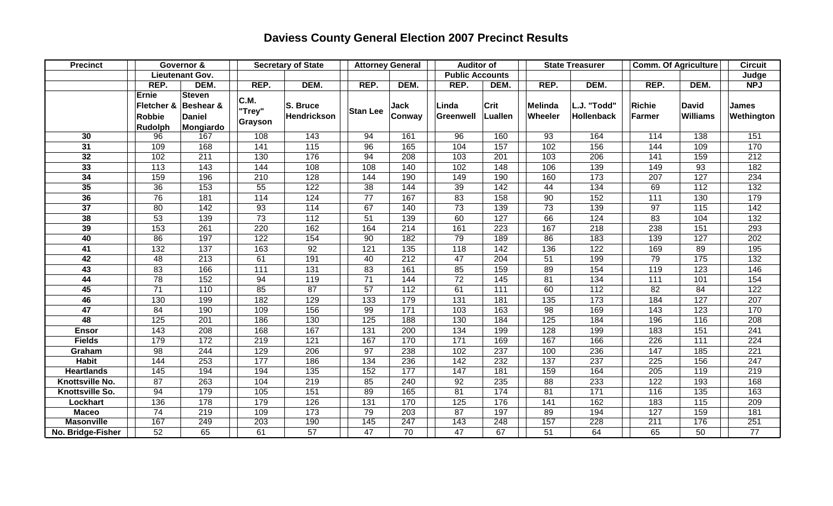## **Daviess County General Election 2007 Precinct Results**

| <b>Precinct</b>   | Governor &                                             |                                                          | <b>Secretary of State</b> |                         | <b>Attorney General</b> |                       | <b>Auditor of</b>      |                        | <b>State Treasurer</b>    |                                  | <b>Comm. Of Agriculture</b>    |                                 | <b>Circuit</b>      |
|-------------------|--------------------------------------------------------|----------------------------------------------------------|---------------------------|-------------------------|-------------------------|-----------------------|------------------------|------------------------|---------------------------|----------------------------------|--------------------------------|---------------------------------|---------------------|
|                   | Lieutenant Gov.                                        |                                                          |                           |                         |                         |                       | <b>Public Accounts</b> |                        |                           |                                  |                                |                                 | Judge               |
|                   | REP.                                                   | DEM.                                                     | REP.                      | DEM.                    | REP.                    | DEM.                  | REP.                   | DEM.                   | REP.                      | DEM.                             | REP.                           | DEM.                            | <b>NPJ</b>          |
|                   | <b>Ernie</b><br>Fletcher &<br><b>Robbie</b><br>Rudolph | <b>Steven</b><br>Beshear &<br><b>Daniel</b><br>Mongiardo | C.M.<br>"Trey"<br>Grayson | S. Bruce<br>Hendrickson | <b>Stan Lee</b>         | <b>Jack</b><br>Conway | Linda<br>Greenwell     | Crit<br><b>Luallen</b> | <b>Melinda</b><br>Wheeler | L.J. "Todd"<br><b>Hollenback</b> | <b>Richie</b><br><b>Farmer</b> | <b>David</b><br><b>Williams</b> | James<br>Wethington |
| 30                | 96                                                     | 167                                                      | 108                       | 143                     | 94                      | 161                   | 96                     | 160                    | 93                        | 164                              | 114                            | 138                             | 151                 |
| $\overline{31}$   | 109                                                    | 168                                                      | 141                       | $\overline{115}$        | 96                      | 165                   | 104                    | $\overline{157}$       | 102                       | 156                              | 144                            | 109                             | 170                 |
| 32                | 102                                                    | 211                                                      | 130                       | 176                     | 94                      | 208                   | 103                    | 201                    | 103                       | 206                              | 141                            | 159                             | 212                 |
| 33                | 113                                                    | 143                                                      | 144                       | 108                     | 108                     | 140                   | 102                    | 148                    | 106                       | 139                              | 149                            | 93                              | 182                 |
| 34                | 159                                                    | 196                                                      | 210                       | 128                     | 144                     | 190                   | 149                    | 190                    | 160                       | 173                              | 207                            | 127                             | 234                 |
| 35                | 36                                                     | 153                                                      | 55                        | $\overline{122}$        | 38                      | 144                   | 39                     | $\frac{142}{ }$        | 44                        | 134                              | 69                             | $\overline{112}$                | $\overline{132}$    |
| 36                | 76                                                     | 181                                                      | 114                       | 124                     | $\overline{77}$         | 167                   | 83                     | 158                    | 90                        | 152                              | 111                            | 130                             | 179                 |
| $\overline{37}$   | 80                                                     | 142                                                      | 93                        | 114                     | 67                      | 140                   | 73                     | 139                    | 73                        | 139                              | 97                             | 115                             | 142                 |
| 38                | 53                                                     | 139                                                      | 73                        | $\overline{112}$        | 51                      | 139                   | 60                     | 127                    | 66                        | 124                              | 83                             | 104                             | $\overline{132}$    |
| 39                | 153                                                    | 261                                                      | 220                       | 162                     | 164                     | $\overline{214}$      | 161                    | 223                    | 167                       | $\overline{218}$                 | 238                            | 151                             | 293                 |
| 40                | 86                                                     | 197                                                      | 122                       | 154                     | 90                      | 182                   | 79                     | 189                    | 86                        | 183                              | 139                            | $\overline{127}$                | 202                 |
| $\overline{41}$   | $\overline{132}$                                       | 137                                                      | 163                       | 92                      | 121                     | 135                   | 118                    | $\frac{142}{ }$        | 136                       | 122                              | 169                            | 89                              | 195                 |
| 42                | 48                                                     | 213                                                      | 61                        | 191                     | 40                      | 212                   | 47                     | 204                    | 51                        | 199                              | 79                             | 175                             | 132                 |
| 43                | 83                                                     | 166                                                      | 111                       | 131                     | 83                      | 161                   | 85                     | 159                    | 89                        | 154                              | 119                            | 123                             | 146                 |
| 44                | 78                                                     | 152                                                      | 94                        | 119                     | $\overline{71}$         | 144                   | $\overline{72}$        | 145                    | 81                        | 134                              | 111                            | 101                             | 154                 |
| 45                | 71                                                     | 110                                                      | 85                        | 87                      | 57                      | 112                   | 61                     | 111                    | 60                        | 112                              | 82                             | 84                              | $\overline{122}$    |
| 46                | 130                                                    | 199                                                      | 182                       | 129                     | 133                     | 179                   | 131                    | 181                    | 135                       | 173                              | 184                            | 127                             | 207                 |
| 47                | $\overline{84}$                                        | 190                                                      | 109                       | 156                     | 99                      | 171                   | 103                    | 163                    | $\overline{98}$           | 169                              | 143                            | 123                             | 170                 |
| 48                | 125                                                    | 201                                                      | 186                       | 130                     | 125                     | 188                   | 130                    | 184                    | 125                       | 184                              | 196                            | 116                             | 208                 |
| <b>Ensor</b>      | 143                                                    | 208                                                      | 168                       | 167                     | 131                     | 200                   | 134                    | 199                    | 128                       | 199                              | 183                            | 151                             | $\overline{241}$    |
| <b>Fields</b>     | 179                                                    | 172                                                      | 219                       | 121                     | 167                     | 170                   | 171                    | 169                    | 167                       | 166                              | 226                            | 111                             | 224                 |
| Graham            | 98                                                     | 244                                                      | 129                       | 206                     | $\overline{97}$         | 238                   | 102                    | 237                    | 100                       | 236                              | 147                            | $\frac{1}{185}$                 | $\overline{221}$    |
| <b>Habit</b>      | 144                                                    | 253                                                      | 177                       | 186                     | 134                     | 236                   | 142                    | 232                    | 137                       | 237                              | 225                            | 156                             | 247                 |
| <b>Heartlands</b> | 145                                                    | 194                                                      | 194                       | 135                     | 152                     | 177                   | 147                    | 181                    | 159                       | 164                              | 205                            | 119                             | 219                 |
| Knottsville No.   | $\overline{87}$                                        | 263                                                      | 104                       | 219                     | 85                      | 240                   | 92                     | 235                    | 88                        | 233                              | 122                            | 193                             | 168                 |
| Knottsville So.   | 94                                                     | 179                                                      | 105                       | 151                     | 89                      | 165                   | 81                     | 174                    | 81                        | 171                              | 116                            | 135                             | 163                 |
| Lockhart          | 136                                                    | 178                                                      | 179                       | 126                     | 131                     | 170                   | 125                    | 176                    | 141                       | 162                              | 183                            | 115                             | 209                 |
| <b>Maceo</b>      | $\overline{74}$                                        | 219                                                      | 109                       | 173                     | 79                      | 203                   | $\overline{87}$        | 197                    | 89                        | 194                              | 127                            | 159                             | 181                 |
| <b>Masonville</b> | 167                                                    | 249                                                      | 203                       | 190                     | 145                     | 247                   | 143                    | 248                    | 157                       | 228                              | 211                            | 176                             | 251                 |
| No. Bridge-Fisher | 52                                                     | 65                                                       | 61                        | $\overline{57}$         | 47                      | 70                    | $\overline{47}$        | 67                     | $\overline{51}$           | 64                               | 65                             | 50                              | $\overline{77}$     |